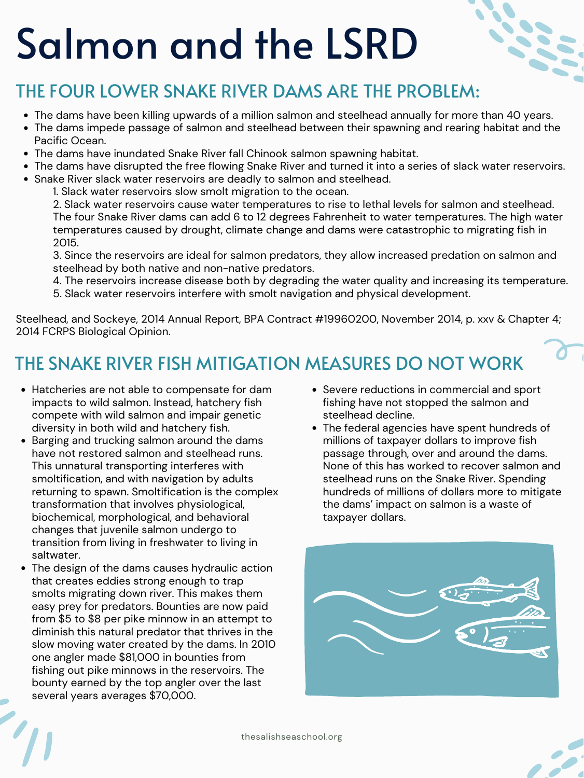## THE FOUR LOWER SNAKE RIVER DAMS ARE THE PROBLEM:

thesalishseaschool.org



# Salmon and the LSRD

- The dams have been killing upwards of a million salmon and steelhead annually for more than 40 years.
- The dams impede passage of salmon and steelhead between their spawning and rearing habitat and the Pacific Ocean.
- The dams have inundated Snake River fall Chinook salmon spawning habitat.
- The dams have disrupted the free flowing Snake River and turned it into a series of slack water reservoirs.
- Snake River slack water reservoirs are deadly to salmon and steelhead.

- Hatcheries are not able to compensate for dam impacts to wild salmon. Instead, hatchery fish compete with wild salmon and impair genetic diversity in both wild and hatchery fish. Barging and trucking salmon around the dams have not restored salmon and steelhead runs. This unnatural transporting interferes with smoltification, and with navigation by adults returning to spawn. Smoltification is the complex transformation that involves physiological, biochemical, morphological, and behavioral changes that juvenile salmon undergo to transition from living in freshwater to living in saltwater. The design of the dams causes hydraulic action that creates eddies strong enough to trap smolts migrating down river. This makes them easy prey for predators. Bounties are now paid from \$5 to \$8 per pike minnow in an attempt to diminish this natural predator that thrives in the slow moving water created by the dams. In 2010 one angler made \$81,000 in bounties from fishing out pike minnows in the reservoirs. The bounty earned by the top angler over the last several years averages \$70,000.
- Severe reductions in commercial and sport fishing have not stopped the salmon and steelhead decline. The federal agencies have spent hundreds of millions of taxpayer dollars to improve fish passage through, over and around the dams. None of this has worked to recover salmon and steelhead runs on the Snake River. Spending hundreds of millions of dollars more to mitigate the dams' impact on salmon is a waste of taxpayer dollars.



1. Slack water reservoirs slow smolt migration to the ocean.

2. Slack water reservoirs cause water temperatures to rise to lethal levels for salmon and steelhead. The four Snake River dams can add 6 to 12 degrees Fahrenheit to water temperatures. The high water temperatures caused by drought, climate change and dams were catastrophic to migrating fish in 2015.

3. Since the reservoirs are ideal for salmon predators, they allow increased predation on salmon and steelhead by both native and non-native predators.

4. The reservoirs increase disease both by degrading the water quality and increasing its temperature.

5. Slack water reservoirs interfere with smolt navigation and physical development.

Steelhead, and Sockeye, 2014 Annual Report, BPA Contract #19960200, November 2014, p. xxv & Chapter 4; 2014 FCRPS Biological Opinion.

## THE SNAKE RIVER FISH MITIGATION MEASURES DO NOT WORK